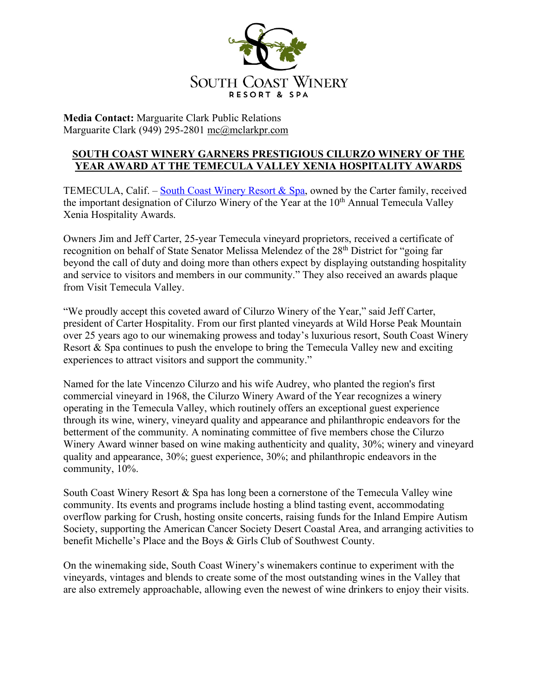

**Media Contact:** Marguarite Clark Public Relations Marguarite Clark (949) 295-2801 mc@mclarkpr.com

## **SOUTH COAST WINERY GARNERS PRESTIGIOUS CILURZO WINERY OF THE YEAR AWARD AT THE TEMECULA VALLEY XENIA HOSPITALITY AWARDS**

TEMECULA, Calif. – South Coast Winery Resort  $\&$  Spa, owned by the Carter family, received the important designation of Cilurzo Winery of the Year at the 10<sup>th</sup> Annual Temecula Valley Xenia Hospitality Awards.

Owners Jim and Jeff Carter, 25-year Temecula vineyard proprietors, received a certificate of recognition on behalf of State Senator Melissa Melendez of the 28<sup>th</sup> District for "going far beyond the call of duty and doing more than others expect by displaying outstanding hospitality and service to visitors and members in our community." They also received an awards plaque from Visit Temecula Valley.

"We proudly accept this coveted award of Cilurzo Winery of the Year," said Jeff Carter, president of Carter Hospitality. From our first planted vineyards at Wild Horse Peak Mountain over 25 years ago to our winemaking prowess and today's luxurious resort, South Coast Winery Resort & Spa continues to push the envelope to bring the Temecula Valley new and exciting experiences to attract visitors and support the community."

Named for the late Vincenzo Cilurzo and his wife Audrey, who planted the region's first commercial vineyard in 1968, the Cilurzo Winery Award of the Year recognizes a winery operating in the Temecula Valley, which routinely offers an exceptional guest experience through its wine, winery, vineyard quality and appearance and philanthropic endeavors for the betterment of the community. A nominating committee of five members chose the Cilurzo Winery Award winner based on wine making authenticity and quality, 30%; winery and vineyard quality and appearance, 30%; guest experience, 30%; and philanthropic endeavors in the community, 10%.

South Coast Winery Resort & Spa has long been a cornerstone of the Temecula Valley wine community. Its events and programs include hosting a blind tasting event, accommodating overflow parking for Crush, hosting onsite concerts, raising funds for the Inland Empire Autism Society, supporting the American Cancer Society Desert Coastal Area, and arranging activities to benefit Michelle's Place and the Boys & Girls Club of Southwest County.

On the winemaking side, South Coast Winery's winemakers continue to experiment with the vineyards, vintages and blends to create some of the most outstanding wines in the Valley that are also extremely approachable, allowing even the newest of wine drinkers to enjoy their visits.